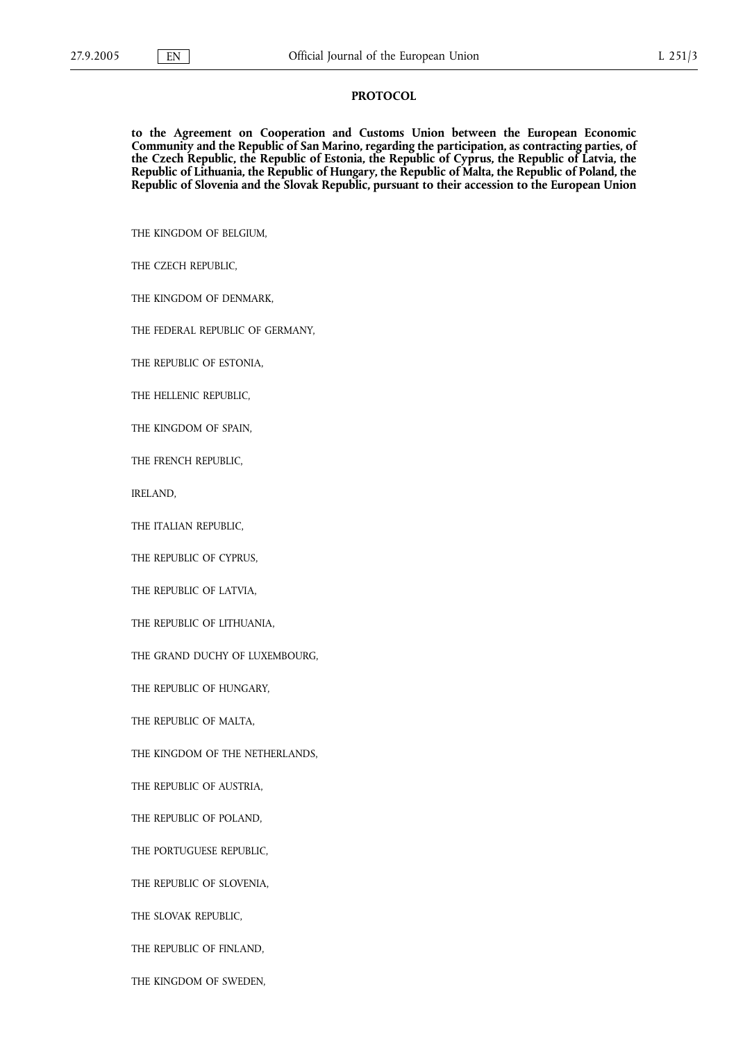to the Agreement on Cooperation and Customs Union between the European Economic Community and the Republic of San Marino, regarding the participation, as contracting parties, of the Czech Republic, the Republic of Estonia, the Republic of Cyprus, the Republic of Latvia, the Republic of Lithuania, the Republic of Hungary, the Republic of Malta, the Republic of Poland, the Republic of Slovenia and the Slovak Republic, pursuant to their accession to the European Union

THE KINGDOM OF BELGIUM,

THE CZECH REPUBLIC,

THE KINGDOM OF DENMARK,

THE FEDERAL REPUBLIC OF GERMANY,

THE REPUBLIC OF ESTONIA,

THE HELLENIC REPUBLIC,

THE KINGDOM OF SPAIN,

THE FRENCH REPUBLIC,

IRELAND,

THE ITALIAN REPUBLIC,

THE REPUBLIC OF CYPRUS,

THE REPUBLIC OF LATVIA,

THE REPUBLIC OF LITHUANIA,

THE GRAND DUCHY OF LUXEMBOURG,

THE REPUBLIC OF HUNGARY,

THE REPUBLIC OF MALTA,

THE KINGDOM OF THE NETHERLANDS,

THE REPUBLIC OF AUSTRIA,

THE REPUBLIC OF POLAND,

THE PORTUGUESE REPUBLIC,

THE REPUBLIC OF SLOVENIA,

THE SLOVAK REPUBLIC,

THE REPUBLIC OF FINLAND,

THE KINGDOM OF SWEDEN,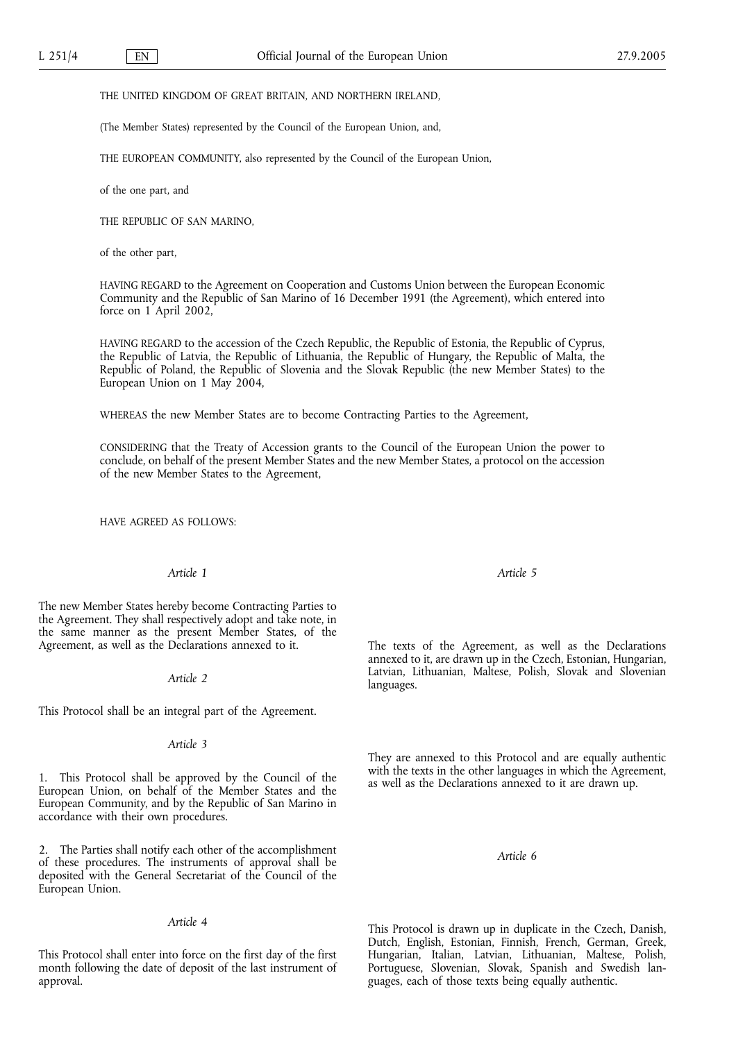#### THE UNITED KINGDOM OF GREAT BRITAIN, AND NORTHERN IRELAND,

(The Member States) represented by the Council of the European Union, and,

THE EUROPEAN COMMUNITY, also represented by the Council of the European Union,

of the one part, and

THE REPUBLIC OF SAN MARINO,

of the other part,

HAVING REGARD to the Agreement on Cooperation and Customs Union between the European Economic Community and the Republic of San Marino of 16 December 1991 (the Agreement), which entered into force on 1 April 2002,

HAVING REGARD to the accession of the Czech Republic, the Republic of Estonia, the Republic of Cyprus, the Republic of Latvia, the Republic of Lithuania, the Republic of Hungary, the Republic of Malta, the Republic of Poland, the Republic of Slovenia and the Slovak Republic (the new Member States) to the European Union on 1 May 2004,

WHEREAS the new Member States are to become Contracting Parties to the Agreement,

CONSIDERING that the Treaty of Accession grants to the Council of the European Union the power to conclude, on behalf of the present Member States and the new Member States, a protocol on the accession of the new Member States to the Agreement,

HAVE AGREED AS FOLLOWS:

# Article 1

The new Member States hereby become Contracting Parties to the Agreement. They shall respectively adopt and take note, in the same manner as the present Member States, of the Agreement, as well as the Declarations annexed to it.

### Article 2

This Protocol shall be an integral part of the Agreement.

## Article 3

1. This Protocol shall be approved by the Council of the European Union, on behalf of the Member States and the European Community, and by the Republic of San Marino in accordance with their own procedures.

2. The Parties shall notify each other of the accomplishment of these procedures. The instruments of approval shall be deposited with the General Secretariat of the Council of the European Union.

Article 4

This Protocol shall enter into force on the first day of the first month following the date of deposit of the last instrument of approval.

Article 5

The texts of the Agreement, as well as the Declarations annexed to it, are drawn up in the Czech, Estonian, Hungarian, Latvian, Lithuanian, Maltese, Polish, Slovak and Slovenian languages.

They are annexed to this Protocol and are equally authentic with the texts in the other languages in which the Agreement, as well as the Declarations annexed to it are drawn up.

### Article 6

This Protocol is drawn up in duplicate in the Czech, Danish, Dutch, English, Estonian, Finnish, French, German, Greek, Hungarian, Italian, Latvian, Lithuanian, Maltese, Polish, Portuguese, Slovenian, Slovak, Spanish and Swedish languages, each of those texts being equally authentic.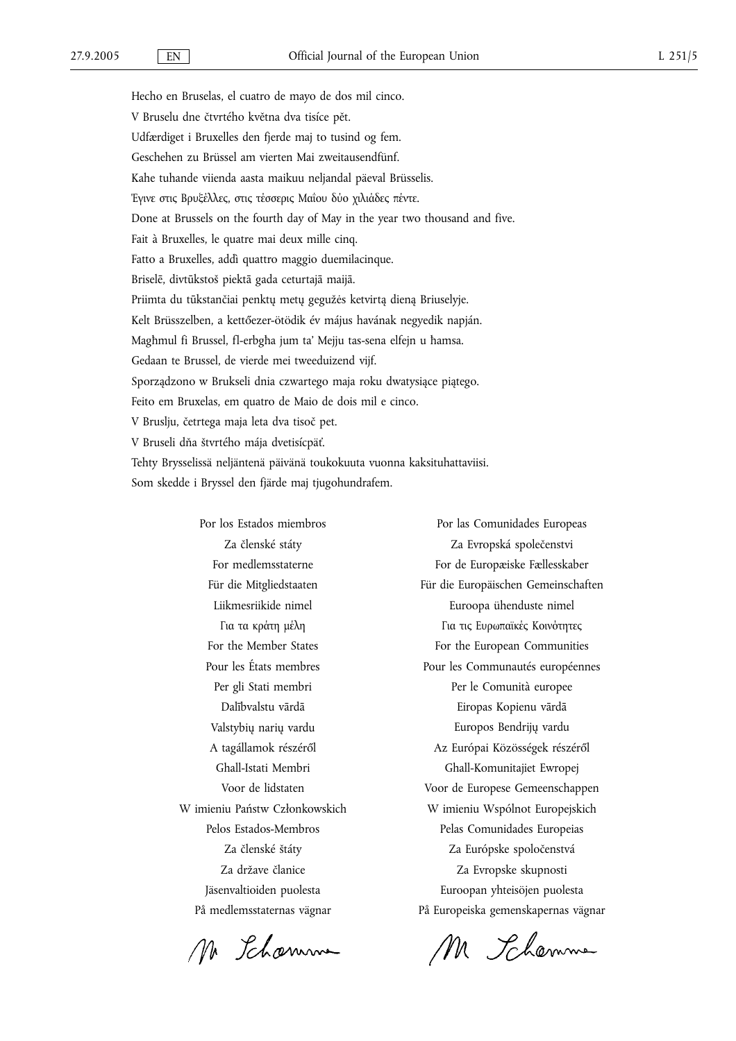Hecho en Bruselas, el cuatro de mayo de dos mil cinco. V Bruselu dne čtvrtého května dva tisíce pět. Udfærdiget i Bruxelles den fjerde maj to tusind og fem. Geschehen zu Brüssel am vierten Mai zweitausendfünf. Kahe tuhande viienda aasta maikuu neljandal päeval Brüsselis. Έγινε στις Βρυξέλλες, στις τέσσερις Μαΐου δύο χιλιάδες πέντε. Done at Brussels on the fourth day of May in the year two thousand and five. Fait à Bruxelles, le quatre mai deux mille cinq. Fatto a Bruxelles, addì quattro maggio duemilacinque. Briselē, divtūkstoš piektā gada ceturtajā maijā. Priimta du tūkstančiai penktų metų gegužės ketvirtą dieną Briuselyje. Kelt Brüsszelben, a kettőezer-ötödik év május havának negyedik napján. Magħmul fi Brussel, fl-erbgħa jum ta' Mejju tas-sena elfejn u ħamsa. Gedaan te Brussel, de vierde mei tweeduizend vijf. Sporządzono w Brukseli dnia czwartego maja roku dwatysiące piątego. Feito em Bruxelas, em quatro de Maio de dois mil e cinco. V Bruslju, četrtega maja leta dva tisoč pet. V Bruseli dňa štvrtého mája dvetisícpäť. Tehty Brysselissä neljäntenä päivänä toukokuuta vuonna kaksituhattaviisi. Som skedde i Bryssel den fjärde maj tjugohundrafem.

> Por los Estados miembros Za členské státy For medlemsstaterne Für die Mitgliedstaaten Liikmesriikide nimel Για τα κράτη μέλη For the Member States Pour les États membres Per gli Stati membri Dalībvalstu vārdā Valstybių narių vardu A tagállamok részéről Ghall-Istati Membri Voor de lidstaten W imieniu Państw Członkowskich Pelos Estados-Membros Za členské štáty Za države članice Jäsenvaltioiden puolesta På medlemsstaternas vägnar

Mr Schamme

Por las Comunidades Europeas Za Evropská společenstvi For de Europæiske Fællesskaber Für die Europäischen Gemeinschaften Euroopa ühenduste nimel Για τις Ευρωπαϊκές Κοινότητες For the European Communities Pour les Communautés européennes Per le Comunità europee Eiropas Kopienu vārdā Europos Bendrijų vardu Az Európai Közösségek részéről Ghall-Komunitajiet Ewropej Voor de Europese Gemeenschappen W imieniu Wspólnot Europejskich Pelas Comunidades Europeias Za Európske spoločenstvá Za Evropske skupnosti Euroopan yhteisöjen puolesta På Europeiska gemenskapernas vägnar

M Schemme